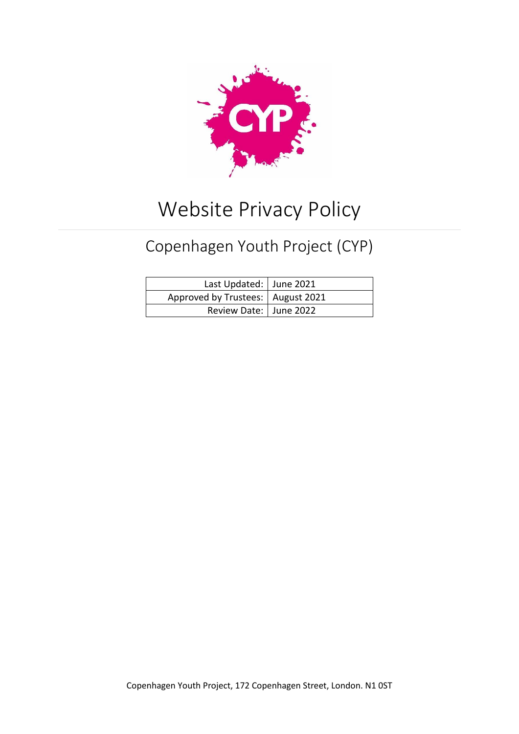

# Website Privacy Policy

# Copenhagen Youth Project (CYP)

| Last Updated: June 2021             |  |
|-------------------------------------|--|
| Approved by Trustees:   August 2021 |  |
| Review Date:   June 2022            |  |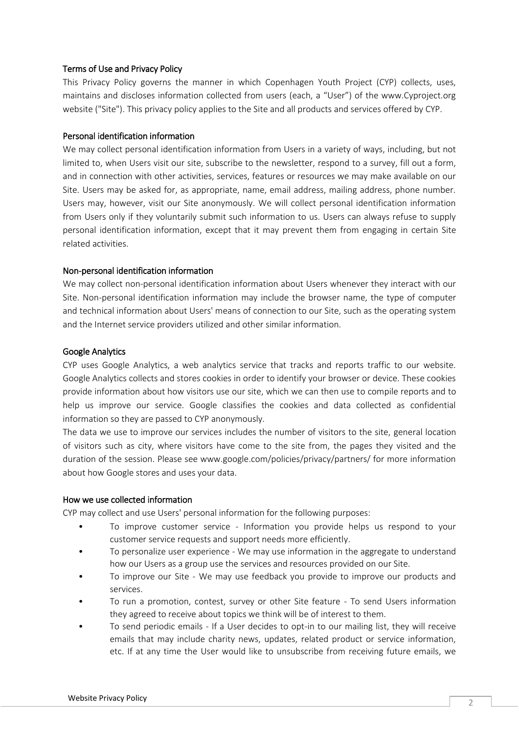## Terms of Use and Privacy Policy

This Privacy Policy governs the manner in which Copenhagen Youth Project (CYP) collects, uses, maintains and discloses information collected from users (each, a "User") of the www.Cyproject.org website ("Site"). This privacy policy applies to the Site and all products and services offered by CYP.

## Personal identification information

We may collect personal identification information from Users in a variety of ways, including, but not limited to, when Users visit our site, subscribe to the newsletter, respond to a survey, fill out a form, and in connection with other activities, services, features or resources we may make available on our Site. Users may be asked for, as appropriate, name, email address, mailing address, phone number. Users may, however, visit our Site anonymously. We will collect personal identification information from Users only if they voluntarily submit such information to us. Users can always refuse to supply personal identification information, except that it may prevent them from engaging in certain Site related activities.

# Non-personal identification information

We may collect non-personal identification information about Users whenever they interact with our Site. Non-personal identification information may include the browser name, the type of computer and technical information about Users' means of connection to our Site, such as the operating system and the Internet service providers utilized and other similar information.

# Google Analytics

CYP uses Google Analytics, a web analytics service that tracks and reports traffic to our website. Google Analytics collects and stores cookies in order to identify your browser or device. These cookies provide information about how visitors use our site, which we can then use to compile reports and to help us improve our service. Google classifies the cookies and data collected as confidential information so they are passed to CYP anonymously.

The data we use to improve our services includes the number of visitors to the site, general location of visitors such as city, where visitors have come to the site from, the pages they visited and the duration of the session. Please see www.google.com/policies/privacy/partners/ for more information about how Google stores and uses your data.

#### How we use collected information

CYP may collect and use Users' personal information for the following purposes:

- To improve customer service Information you provide helps us respond to your customer service requests and support needs more efficiently.
- To personalize user experience We may use information in the aggregate to understand how our Users as a group use the services and resources provided on our Site.
- To improve our Site We may use feedback you provide to improve our products and services.
- To run a promotion, contest, survey or other Site feature To send Users information they agreed to receive about topics we think will be of interest to them.
- To send periodic emails If a User decides to opt-in to our mailing list, they will receive emails that may include charity news, updates, related product or service information, etc. If at any time the User would like to unsubscribe from receiving future emails, we